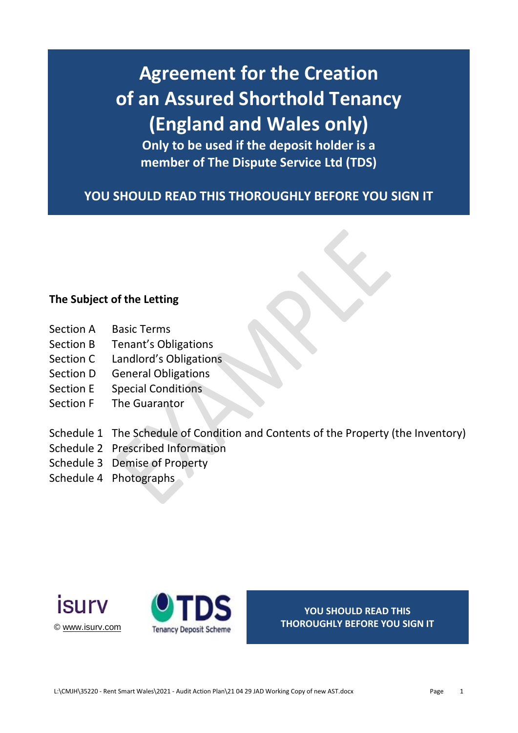# **Agreement for the Creation of an Assured Shorthold Tenancy (England and Wales only)**

**Only to be used if the deposit holder is a member of The Dispute Service Ltd (TDS)**

**YOU SHOULD READ THIS THOROUGHLY BEFORE YOU SIGN IT**

### **The Subject of the Letting**

- Section A Basic Terms
- Section B Tenant's Obligations
- Section C Landlord's Obligations
- Section D General Obligations
- Section E Special Conditions
- Section **F** The Guarantor
- Schedule 1 The Schedule of Condition and Contents of the Property (the Inventory)
- Schedule 2 Prescribed Information
- Schedule 3 Demise of Property
- Schedule 4 Photographs





**YOU SHOULD READ THIS THOROUGHLY BEFORE YOU SIGN IT**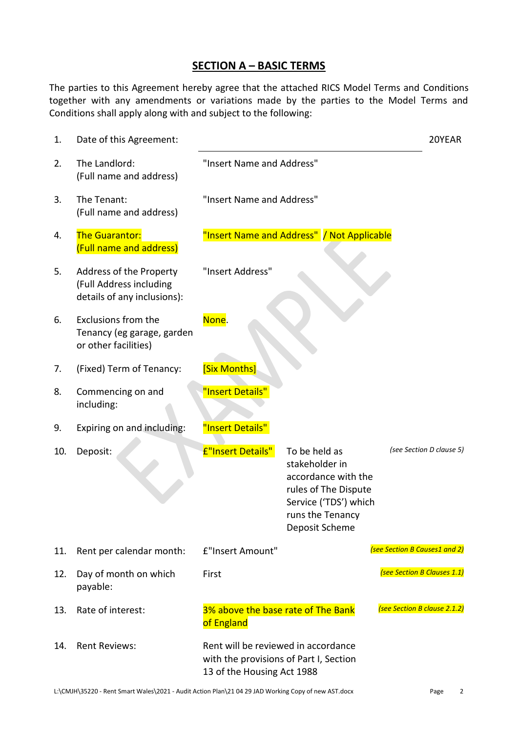### **SECTION A – BASIC TERMS**

The parties to this Agreement hereby agree that the attached RICS Model Terms and Conditions together with any amendments or variations made by the parties to the Model Terms and Conditions shall apply along with and subject to the following:

| 1.  | Date of this Agreement:                                                           |                                                                                                             |                                                                                                                                               | 20YEAR                        |
|-----|-----------------------------------------------------------------------------------|-------------------------------------------------------------------------------------------------------------|-----------------------------------------------------------------------------------------------------------------------------------------------|-------------------------------|
| 2.  | The Landlord:<br>(Full name and address)                                          | "Insert Name and Address"                                                                                   |                                                                                                                                               |                               |
| 3.  | The Tenant:<br>(Full name and address)                                            | "Insert Name and Address"                                                                                   |                                                                                                                                               |                               |
| 4.  | <b>The Guarantor:</b><br>(Full name and address)                                  |                                                                                                             | "Insert Name and Address" / Not Applicable                                                                                                    |                               |
| 5.  | Address of the Property<br>(Full Address including<br>details of any inclusions): | "Insert Address"                                                                                            |                                                                                                                                               |                               |
| 6.  | Exclusions from the<br>Tenancy (eg garage, garden<br>or other facilities)         | None.                                                                                                       |                                                                                                                                               |                               |
| 7.  | (Fixed) Term of Tenancy:                                                          | [Six Months]                                                                                                |                                                                                                                                               |                               |
| 8.  | Commencing on and<br>including:                                                   | "Insert Details"                                                                                            |                                                                                                                                               |                               |
| 9.  | Expiring on and including:                                                        | "Insert Details"                                                                                            |                                                                                                                                               |                               |
| 10. | Deposit:                                                                          | E"Insert Details"                                                                                           | To be held as<br>stakeholder in<br>accordance with the<br>rules of The Dispute<br>Service ('TDS') which<br>runs the Tenancy<br>Deposit Scheme | (see Section D clause 5)      |
| 11. | Rent per calendar month:                                                          | £"Insert Amount"                                                                                            |                                                                                                                                               | (see Section B Causes1 and 2) |
| 12. | Day of month on which<br>payable:                                                 | First                                                                                                       |                                                                                                                                               | (see Section B Clauses 1.1)   |
| 13. | Rate of interest:                                                                 | 3% above the base rate of The Bank<br>of England                                                            |                                                                                                                                               | (see Section B clause 2.1.2)  |
| 14. | <b>Rent Reviews:</b>                                                              | Rent will be reviewed in accordance<br>with the provisions of Part I, Section<br>13 of the Housing Act 1988 |                                                                                                                                               |                               |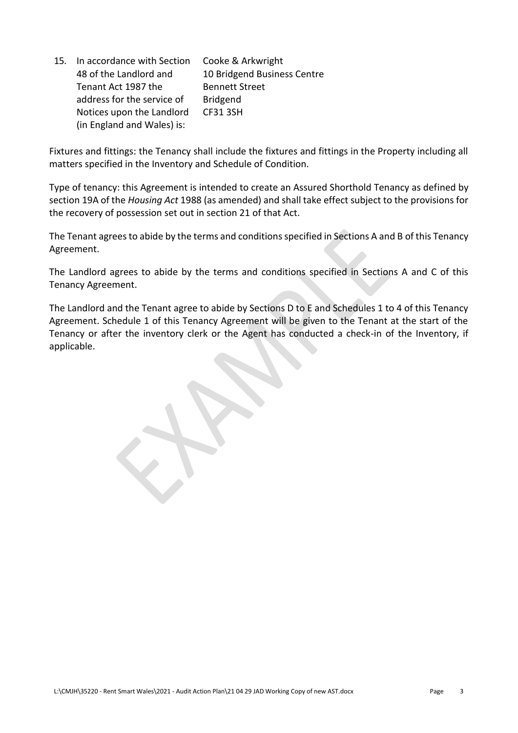15. In accordance with Section 48 of the Landlord and Tenant Act 1987 the address for the service of Notices upon the Landlord (in England and Wales) is: Cooke & Arkwright 10 Bridgend Business Centre Bennett Street Bridgend CF31 3SH

Fixtures and fittings: the Tenancy shall include the fixtures and fittings in the Property including all matters specified in the Inventory and Schedule of Condition.

Type of tenancy: this Agreement is intended to create an Assured Shorthold Tenancy as defined by section 19A of the *Housing Act* 1988 (as amended) and shall take effect subject to the provisions for the recovery of possession set out in section 21 of that Act.

The Tenant agrees to abide by the terms and conditions specified in Sections A and B of this Tenancy Agreement.

The Landlord agrees to abide by the terms and conditions specified in Sections A and C of this Tenancy Agreement.

The Landlord and the Tenant agree to abide by Sections D to E and Schedules 1 to 4 of this Tenancy Agreement. Schedule 1 of this Tenancy Agreement will be given to the Tenant at the start of the Tenancy or after the inventory clerk or the Agent has conducted a check-in of the Inventory, if applicable.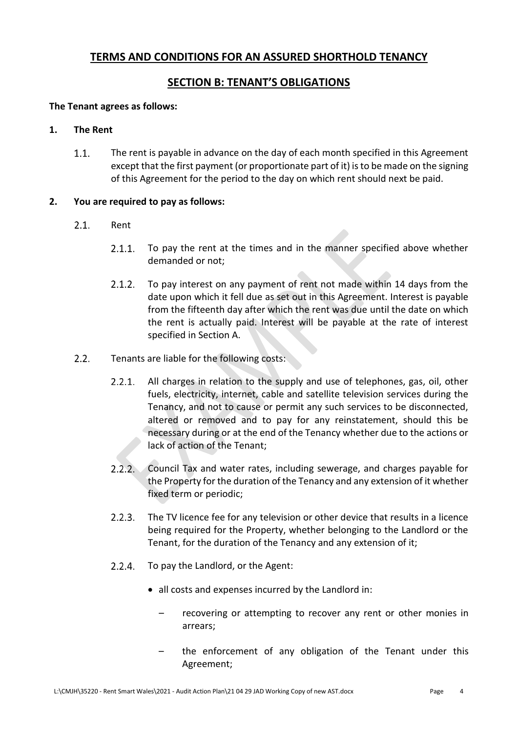### **TERMS AND CONDITIONS FOR AN ASSURED SHORTHOLD TENANCY**

### **SECTION B: TENANT'S OBLIGATIONS**

### **The Tenant agrees as follows:**

### **1. The Rent**

 $1.1.$ The rent is payable in advance on the day of each month specified in this Agreement except that the first payment (or proportionate part of it) is to be made on the signing of this Agreement for the period to the day on which rent should next be paid.

### **2. You are required to pay as follows:**

- $2.1.$ Rent
	- $2.1.1$ To pay the rent at the times and in the manner specified above whether demanded or not;
	- $2.1.2.$ To pay interest on any payment of rent not made within 14 days from the date upon which it fell due as set out in this Agreement. Interest is payable from the fifteenth day after which the rent was due until the date on which the rent is actually paid. Interest will be payable at the rate of interest specified in Section A.
- $2.2.$ Tenants are liable for the following costs:
	- $2.2.1.$ All charges in relation to the supply and use of telephones, gas, oil, other fuels, electricity, internet, cable and satellite television services during the Tenancy, and not to cause or permit any such services to be disconnected, altered or removed and to pay for any reinstatement, should this be necessary during or at the end of the Tenancy whether due to the actions or lack of action of the Tenant;
	- $2.2.2.$ Council Tax and water rates, including sewerage, and charges payable for the Property for the duration of the Tenancy and any extension of it whether fixed term or periodic;
	- $2.2.3.$ The TV licence fee for any television or other device that results in a licence being required for the Property, whether belonging to the Landlord or the Tenant, for the duration of the Tenancy and any extension of it;
	- $2.2.4.$ To pay the Landlord, or the Agent:
		- all costs and expenses incurred by the Landlord in:
			- recovering or attempting to recover any rent or other monies in arrears;
			- the enforcement of any obligation of the Tenant under this Agreement;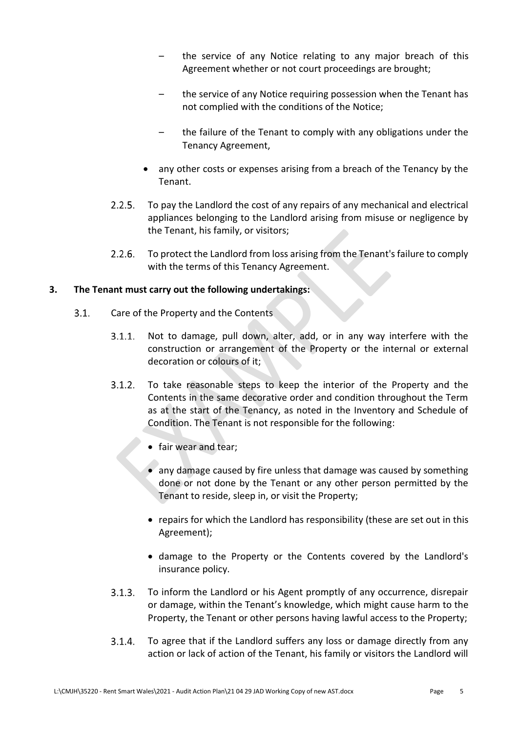- the service of any Notice relating to any major breach of this Agreement whether or not court proceedings are brought;
- the service of any Notice requiring possession when the Tenant has not complied with the conditions of the Notice;
- the failure of the Tenant to comply with any obligations under the Tenancy Agreement,
- any other costs or expenses arising from a breach of the Tenancy by the Tenant.
- $2.2.5.$ To pay the Landlord the cost of any repairs of any mechanical and electrical appliances belonging to the Landlord arising from misuse or negligence by the Tenant, his family, or visitors;
- $2.2.6.$ To protect the Landlord from loss arising from the Tenant's failure to comply with the terms of this Tenancy Agreement.

### **3. The Tenant must carry out the following undertakings:**

- $3.1.$ Care of the Property and the Contents
	- Not to damage, pull down, alter, add, or in any way interfere with the  $3.1.1.$ construction or arrangement of the Property or the internal or external decoration or colours of it;
	- $3.1.2.$ To take reasonable steps to keep the interior of the Property and the Contents in the same decorative order and condition throughout the Term as at the start of the Tenancy, as noted in the Inventory and Schedule of Condition. The Tenant is not responsible for the following:
		- fair wear and tear;
		- any damage caused by fire unless that damage was caused by something done or not done by the Tenant or any other person permitted by the Tenant to reside, sleep in, or visit the Property;
		- repairs for which the Landlord has responsibility (these are set out in this Agreement);
		- damage to the Property or the Contents covered by the Landlord's insurance policy.
	- $3.1.3.$ To inform the Landlord or his Agent promptly of any occurrence, disrepair or damage, within the Tenant's knowledge, which might cause harm to the Property, the Tenant or other persons having lawful access to the Property;
	- $3.1.4.$ To agree that if the Landlord suffers any loss or damage directly from any action or lack of action of the Tenant, his family or visitors the Landlord will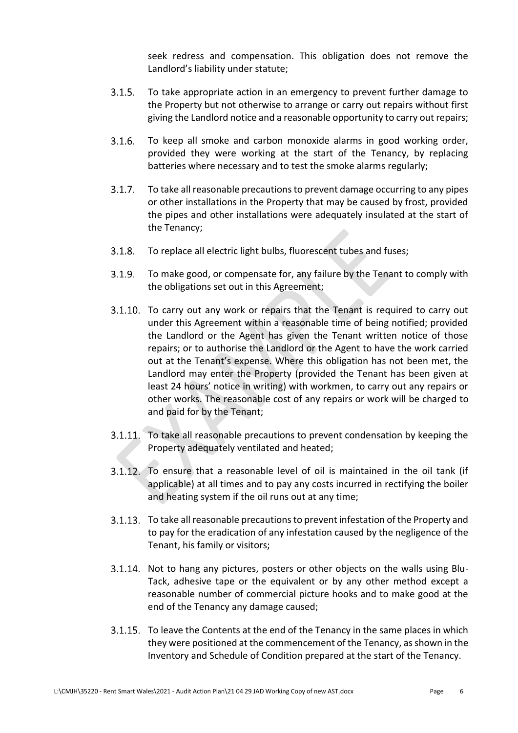seek redress and compensation. This obligation does not remove the Landlord's liability under statute;

- $3.1.5.$ To take appropriate action in an emergency to prevent further damage to the Property but not otherwise to arrange or carry out repairs without first giving the Landlord notice and a reasonable opportunity to carry out repairs;
- $3.1.6.$ To keep all smoke and carbon monoxide alarms in good working order, provided they were working at the start of the Tenancy, by replacing batteries where necessary and to test the smoke alarms regularly;
- $3.1.7.$ To take all reasonable precautions to prevent damage occurring to any pipes or other installations in the Property that may be caused by frost, provided the pipes and other installations were adequately insulated at the start of the Tenancy;
- $3.1.8.$ To replace all electric light bulbs, fluorescent tubes and fuses;
- $3.1.9.$ To make good, or compensate for, any failure by the Tenant to comply with the obligations set out in this Agreement;
- 3.1.10. To carry out any work or repairs that the Tenant is required to carry out under this Agreement within a reasonable time of being notified; provided the Landlord or the Agent has given the Tenant written notice of those repairs; or to authorise the Landlord or the Agent to have the work carried out at the Tenant's expense. Where this obligation has not been met, the Landlord may enter the Property (provided the Tenant has been given at least 24 hours' notice in writing) with workmen, to carry out any repairs or other works. The reasonable cost of any repairs or work will be charged to and paid for by the Tenant;
- 3.1.11. To take all reasonable precautions to prevent condensation by keeping the Property adequately ventilated and heated;
- 3.1.12. To ensure that a reasonable level of oil is maintained in the oil tank (if applicable) at all times and to pay any costs incurred in rectifying the boiler and heating system if the oil runs out at any time;
- 3.1.13. To take all reasonable precautions to prevent infestation of the Property and to pay for the eradication of any infestation caused by the negligence of the Tenant, his family or visitors;
- 3.1.14. Not to hang any pictures, posters or other objects on the walls using Blu-Tack, adhesive tape or the equivalent or by any other method except a reasonable number of commercial picture hooks and to make good at the end of the Tenancy any damage caused;
- To leave the Contents at the end of the Tenancy in the same places in which they were positioned at the commencement of the Tenancy, as shown in the Inventory and Schedule of Condition prepared at the start of the Tenancy.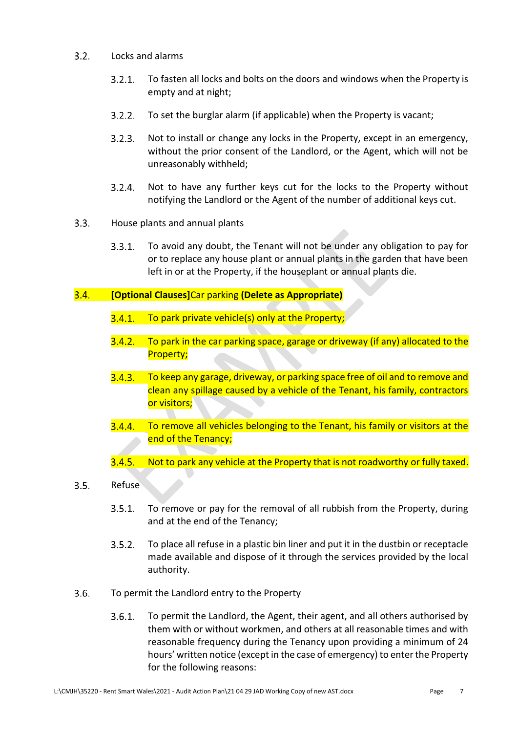#### $3.2.$ Locks and alarms

- $3.2.1.$ To fasten all locks and bolts on the doors and windows when the Property is empty and at night;
- $3.2.2.$ To set the burglar alarm (if applicable) when the Property is vacant;
- $3.2.3.$ Not to install or change any locks in the Property, except in an emergency, without the prior consent of the Landlord, or the Agent, which will not be unreasonably withheld;
- $3.2.4.$ Not to have any further keys cut for the locks to the Property without notifying the Landlord or the Agent of the number of additional keys cut.
- $3.3.$ House plants and annual plants
	- To avoid any doubt, the Tenant will not be under any obligation to pay for  $3.3.1.$ or to replace any house plant or annual plants in the garden that have been left in or at the Property, if the houseplant or annual plants die.

### $3.4.$ **[Optional Clauses]**Car parking **(Delete as Appropriate)**

- $3.4.1.$  To park private vehicle(s) only at the Property;
- 3.4.2. To park in the car parking space, garage or driveway (if any) allocated to the Property;
- $3.4.3.$ To keep any garage, driveway, or parking space free of oil and to remove and clean any spillage caused by a vehicle of the Tenant, his family, contractors or visitors;
- $3.4.4.$ To remove all vehicles belonging to the Tenant, his family or visitors at the end of the Tenancy;
- $3.4.5.$ Not to park any vehicle at the Property that is not roadworthy or fully taxed.

### $3.5.$ Refuse

- $3.5.1.$ To remove or pay for the removal of all rubbish from the Property, during and at the end of the Tenancy;
- $3.5.2.$ To place all refuse in a plastic bin liner and put it in the dustbin or receptacle made available and dispose of it through the services provided by the local authority.
- $3.6.$ To permit the Landlord entry to the Property
	- $3.6.1.$ To permit the Landlord, the Agent, their agent, and all others authorised by them with or without workmen, and others at all reasonable times and with reasonable frequency during the Tenancy upon providing a minimum of 24 hours' written notice (except in the case of emergency) to enter the Property for the following reasons: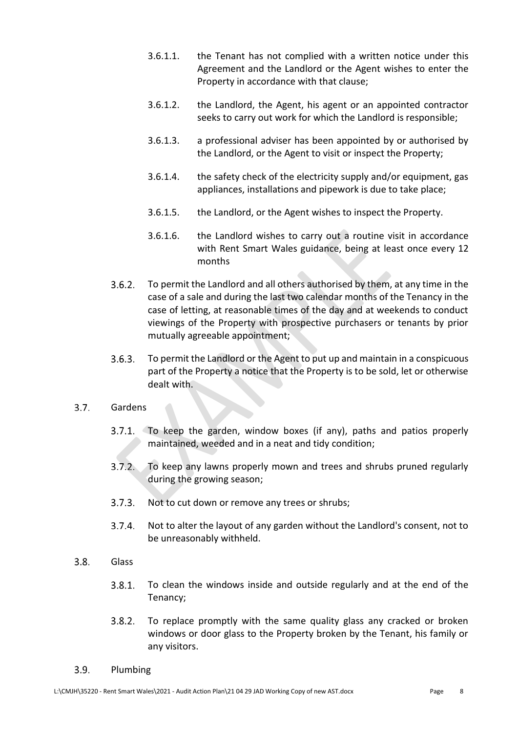- 3.6.1.1. the Tenant has not complied with a written notice under this Agreement and the Landlord or the Agent wishes to enter the Property in accordance with that clause;
- 3.6.1.2. the Landlord, the Agent, his agent or an appointed contractor seeks to carry out work for which the Landlord is responsible;
- 3.6.1.3. a professional adviser has been appointed by or authorised by the Landlord, or the Agent to visit or inspect the Property;
- 3.6.1.4. the safety check of the electricity supply and/or equipment, gas appliances, installations and pipework is due to take place;
- 3.6.1.5. the Landlord, or the Agent wishes to inspect the Property.
- 3.6.1.6. the Landlord wishes to carry out a routine visit in accordance with Rent Smart Wales guidance, being at least once every 12 months
- $3.6.2.$ To permit the Landlord and all others authorised by them, at any time in the case of a sale and during the last two calendar months of the Tenancy in the case of letting, at reasonable times of the day and at weekends to conduct viewings of the Property with prospective purchasers or tenants by prior mutually agreeable appointment;
- $3.6.3.$ To permit the Landlord or the Agent to put up and maintain in a conspicuous part of the Property a notice that the Property is to be sold, let or otherwise dealt with.

### $3.7.$ Gardens

- 3.7.1. To keep the garden, window boxes (if any), paths and patios properly maintained, weeded and in a neat and tidy condition;
- $3.7.2.$ To keep any lawns properly mown and trees and shrubs pruned regularly during the growing season;
- $3.7.3.$ Not to cut down or remove any trees or shrubs;
- $3.7.4.$ Not to alter the layout of any garden without the Landlord's consent, not to be unreasonably withheld.
- $3.8.$ Glass
	- $3.8.1.$ To clean the windows inside and outside regularly and at the end of the Tenancy;
	- $3.8.2.$ To replace promptly with the same quality glass any cracked or broken windows or door glass to the Property broken by the Tenant, his family or any visitors.

#### $3.9.$ Plumbing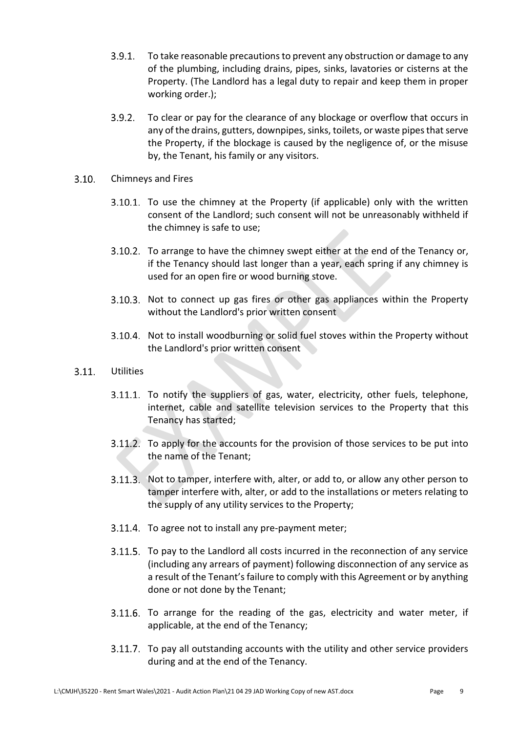- $3.9.1.$ To take reasonable precautions to prevent any obstruction or damage to any of the plumbing, including drains, pipes, sinks, lavatories or cisterns at the Property. (The Landlord has a legal duty to repair and keep them in proper working order.);
- $3.9.2.$ To clear or pay for the clearance of any blockage or overflow that occurs in any of the drains, gutters, downpipes, sinks, toilets, or waste pipes that serve the Property, if the blockage is caused by the negligence of, or the misuse by, the Tenant, his family or any visitors.
- $3.10.$ Chimneys and Fires
	- 3.10.1. To use the chimney at the Property (if applicable) only with the written consent of the Landlord; such consent will not be unreasonably withheld if the chimney is safe to use;
	- 3.10.2. To arrange to have the chimney swept either at the end of the Tenancy or, if the Tenancy should last longer than a year, each spring if any chimney is used for an open fire or wood burning stove.
	- 3.10.3. Not to connect up gas fires or other gas appliances within the Property without the Landlord's prior written consent
	- 3.10.4. Not to install woodburning or solid fuel stoves within the Property without the Landlord's prior written consent
- $3.11.$ Utilities
	- 3.11.1. To notify the suppliers of gas, water, electricity, other fuels, telephone, internet, cable and satellite television services to the Property that this Tenancy has started;
	- 3.11.2. To apply for the accounts for the provision of those services to be put into the name of the Tenant;
	- 3.11.3. Not to tamper, interfere with, alter, or add to, or allow any other person to tamper interfere with, alter, or add to the installations or meters relating to the supply of any utility services to the Property;
	- 3.11.4. To agree not to install any pre-payment meter;
	- 3.11.5. To pay to the Landlord all costs incurred in the reconnection of any service (including any arrears of payment) following disconnection of any service as a result of the Tenant's failure to comply with this Agreement or by anything done or not done by the Tenant;
	- $3.11.6$ . To arrange for the reading of the gas, electricity and water meter, if applicable, at the end of the Tenancy;
	- 3.11.7. To pay all outstanding accounts with the utility and other service providers during and at the end of the Tenancy.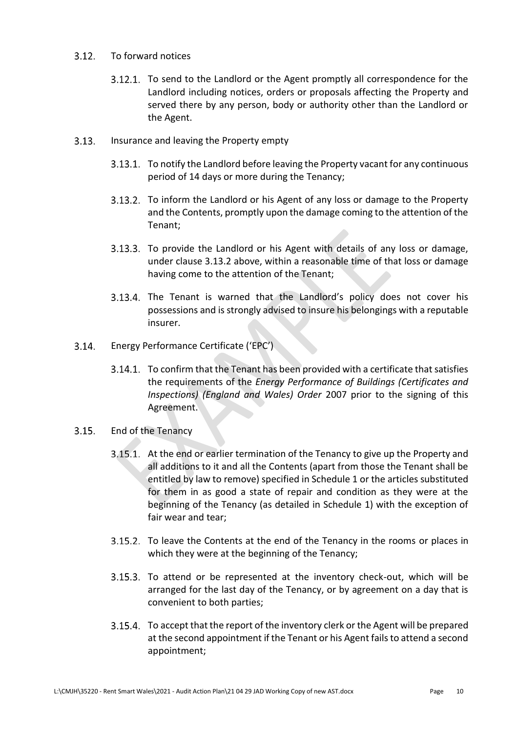#### $3.12.$ To forward notices

- 3.12.1. To send to the Landlord or the Agent promptly all correspondence for the Landlord including notices, orders or proposals affecting the Property and served there by any person, body or authority other than the Landlord or the Agent.
- $3.13.$ Insurance and leaving the Property empty
	- 3.13.1. To notify the Landlord before leaving the Property vacant for any continuous period of 14 days or more during the Tenancy;
	- 3.13.2. To inform the Landlord or his Agent of any loss or damage to the Property and the Contents, promptly upon the damage coming to the attention of the Tenant;
	- 3.13.3. To provide the Landlord or his Agent with details of any loss or damage, under clause 3.13.2 above, within a reasonable time of that loss or damage having come to the attention of the Tenant;
	- 3.13.4. The Tenant is warned that the Landlord's policy does not cover his possessions and is strongly advised to insure his belongings with a reputable insurer.
- Energy Performance Certificate ('EPC')  $3.14.$ 
	- 3.14.1. To confirm that the Tenant has been provided with a certificate that satisfies the requirements of the *Energy Performance of Buildings (Certificates and Inspections) (England and Wales) Order* 2007 prior to the signing of this Agreement.
- $3.15.$ End of the Tenancy
	- At the end or earlier termination of the Tenancy to give up the Property and all additions to it and all the Contents (apart from those the Tenant shall be entitled by law to remove) specified in Schedule 1 or the articles substituted for them in as good a state of repair and condition as they were at the beginning of the Tenancy (as detailed in Schedule 1) with the exception of fair wear and tear;
	- 3.15.2. To leave the Contents at the end of the Tenancy in the rooms or places in which they were at the beginning of the Tenancy;
	- 3.15.3. To attend or be represented at the inventory check-out, which will be arranged for the last day of the Tenancy, or by agreement on a day that is convenient to both parties;
	- To accept that the report of the inventory clerk or the Agent will be prepared at the second appointment if the Tenant or his Agent fails to attend a second appointment;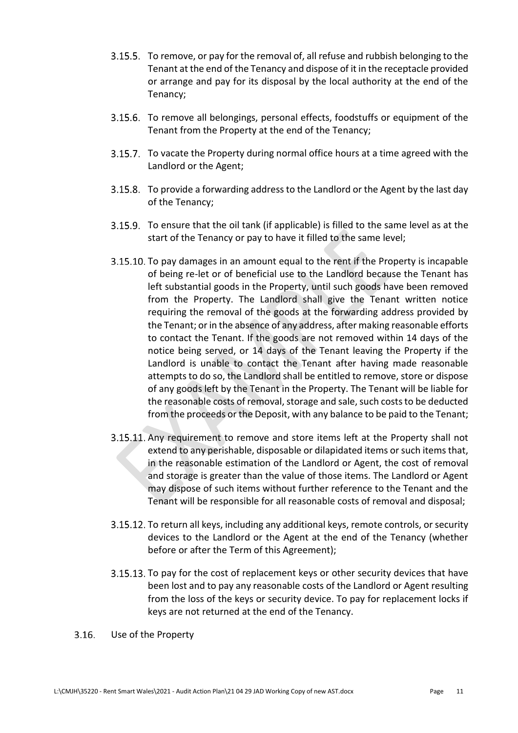- 3.15.5. To remove, or pay for the removal of, all refuse and rubbish belonging to the Tenant at the end of the Tenancy and dispose of it in the receptacle provided or arrange and pay for its disposal by the local authority at the end of the Tenancy;
- 3.15.6. To remove all belongings, personal effects, foodstuffs or equipment of the Tenant from the Property at the end of the Tenancy;
- 3.15.7. To vacate the Property during normal office hours at a time agreed with the Landlord or the Agent;
- 3.15.8. To provide a forwarding address to the Landlord or the Agent by the last day of the Tenancy;
- To ensure that the oil tank (if applicable) is filled to the same level as at the start of the Tenancy or pay to have it filled to the same level;
- 3.15.10. To pay damages in an amount equal to the rent if the Property is incapable of being re-let or of beneficial use to the Landlord because the Tenant has left substantial goods in the Property, until such goods have been removed from the Property. The Landlord shall give the Tenant written notice requiring the removal of the goods at the forwarding address provided by the Tenant; or in the absence of any address, after making reasonable efforts to contact the Tenant. If the goods are not removed within 14 days of the notice being served, or 14 days of the Tenant leaving the Property if the Landlord is unable to contact the Tenant after having made reasonable attempts to do so, the Landlord shall be entitled to remove, store or dispose of any goods left by the Tenant in the Property. The Tenant will be liable for the reasonable costs of removal, storage and sale, such costs to be deducted from the proceeds or the Deposit, with any balance to be paid to the Tenant;
- 3.15.11. Any requirement to remove and store items left at the Property shall not extend to any perishable, disposable or dilapidated items or such items that, in the reasonable estimation of the Landlord or Agent, the cost of removal and storage is greater than the value of those items. The Landlord or Agent may dispose of such items without further reference to the Tenant and the Tenant will be responsible for all reasonable costs of removal and disposal;
- 3.15.12. To return all keys, including any additional keys, remote controls, or security devices to the Landlord or the Agent at the end of the Tenancy (whether before or after the Term of this Agreement);
- 3.15.13. To pay for the cost of replacement keys or other security devices that have been lost and to pay any reasonable costs of the Landlord or Agent resulting from the loss of the keys or security device. To pay for replacement locks if keys are not returned at the end of the Tenancy.
- $3.16.$ Use of the Property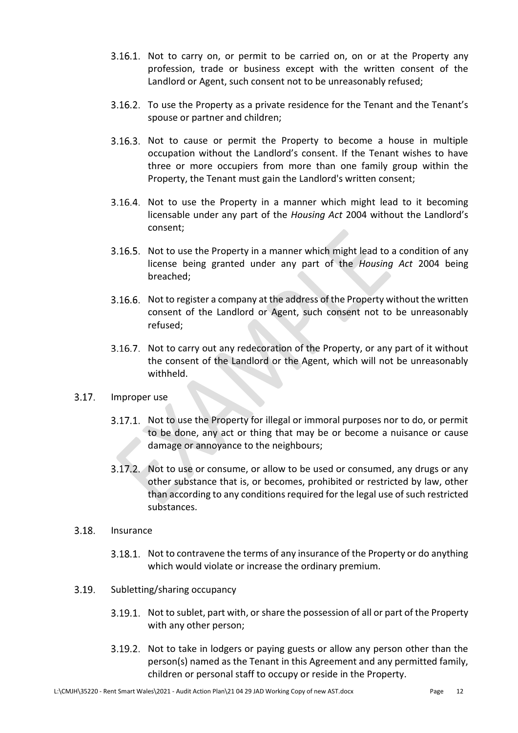- 3.16.1. Not to carry on, or permit to be carried on, on or at the Property any profession, trade or business except with the written consent of the Landlord or Agent, such consent not to be unreasonably refused;
- 3.16.2. To use the Property as a private residence for the Tenant and the Tenant's spouse or partner and children;
- 3.16.3. Not to cause or permit the Property to become a house in multiple occupation without the Landlord's consent. If the Tenant wishes to have three or more occupiers from more than one family group within the Property, the Tenant must gain the Landlord's written consent;
- 3.16.4. Not to use the Property in a manner which might lead to it becoming licensable under any part of the *Housing Act* 2004 without the Landlord's consent;
- 3.16.5. Not to use the Property in a manner which might lead to a condition of any license being granted under any part of the *Housing Act* 2004 being breached;
- 3.16.6. Not to register a company at the address of the Property without the written consent of the Landlord or Agent, such consent not to be unreasonably refused;
- 3.16.7. Not to carry out any redecoration of the Property, or any part of it without the consent of the Landlord or the Agent, which will not be unreasonably withheld.
- $3.17.$ Improper use
	- 3.17.1. Not to use the Property for illegal or immoral purposes nor to do, or permit to be done, any act or thing that may be or become a nuisance or cause damage or annoyance to the neighbours;
	- 3.17.2. Not to use or consume, or allow to be used or consumed, any drugs or any other substance that is, or becomes, prohibited or restricted by law, other than according to any conditions required for the legal use of such restricted substances.
- $3.18.$ Insurance
	- 3.18.1. Not to contravene the terms of any insurance of the Property or do anything which would violate or increase the ordinary premium.
- $3.19.$ Subletting/sharing occupancy
	- 3.19.1. Not to sublet, part with, or share the possession of all or part of the Property with any other person;
	- 3.19.2. Not to take in lodgers or paying guests or allow any person other than the person(s) named as the Tenant in this Agreement and any permitted family, children or personal staff to occupy or reside in the Property.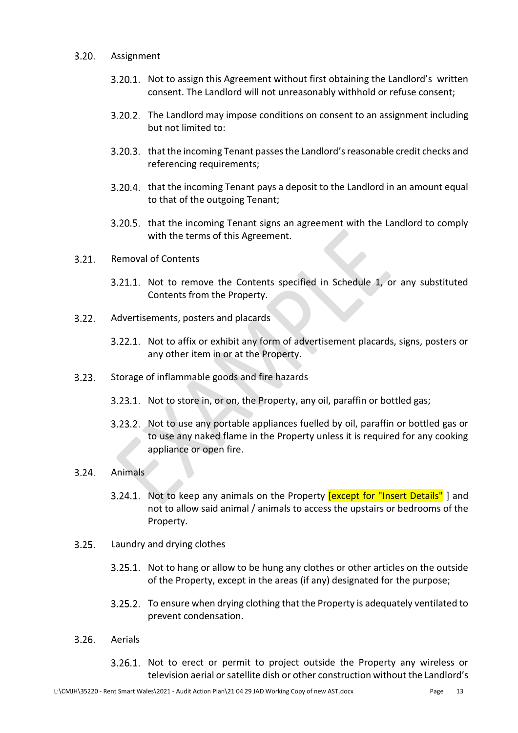#### $3.20.$ Assignment

- 3.20.1. Not to assign this Agreement without first obtaining the Landlord's written consent. The Landlord will not unreasonably withhold or refuse consent;
- 3.20.2. The Landlord may impose conditions on consent to an assignment including but not limited to:
- 3.20.3. that the incoming Tenant passes the Landlord's reasonable credit checks and referencing requirements;
- 3.20.4. that the incoming Tenant pays a deposit to the Landlord in an amount equal to that of the outgoing Tenant;
- 3.20.5. that the incoming Tenant signs an agreement with the Landlord to comply with the terms of this Agreement.
- $3.21.$ Removal of Contents
	- 3.21.1. Not to remove the Contents specified in Schedule 1, or any substituted Contents from the Property.
- $3.22.$ Advertisements, posters and placards
	- 3.22.1. Not to affix or exhibit any form of advertisement placards, signs, posters or any other item in or at the Property.
- $3.23.$ Storage of inflammable goods and fire hazards
	- 3.23.1. Not to store in, or on, the Property, any oil, paraffin or bottled gas;
	- 3.23.2. Not to use any portable appliances fuelled by oil, paraffin or bottled gas or to use any naked flame in the Property unless it is required for any cooking appliance or open fire.

#### $3.24.$ Animals

- 3.24.1. Not to keep any animals on the Property lexcept for "Insert Details" I and not to allow said animal / animals to access the upstairs or bedrooms of the Property.
- $3.25.$ Laundry and drying clothes
	- 3.25.1. Not to hang or allow to be hung any clothes or other articles on the outside of the Property, except in the areas (if any) designated for the purpose;
	- 3.25.2. To ensure when drying clothing that the Property is adequately ventilated to prevent condensation.
- $3.26.$ Aerials
	- 3.26.1. Not to erect or permit to project outside the Property any wireless or television aerial or satellite dish or other construction without the Landlord's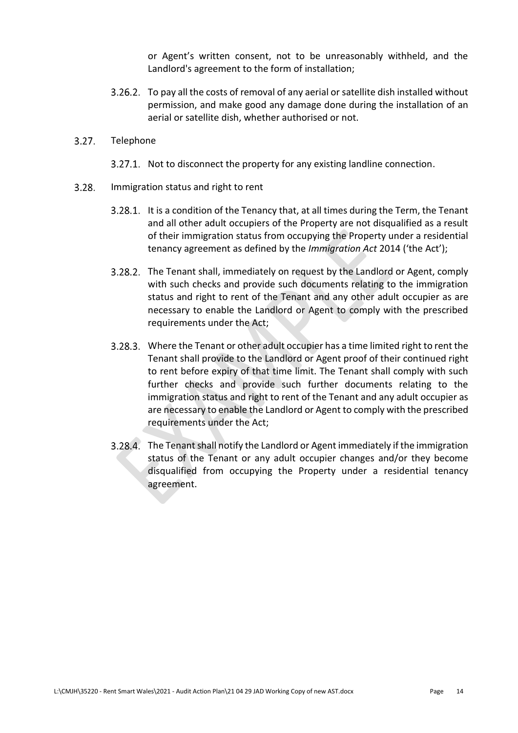or Agent's written consent, not to be unreasonably withheld, and the Landlord's agreement to the form of installation;

To pay all the costs of removal of any aerial or satellite dish installed without permission, and make good any damage done during the installation of an aerial or satellite dish, whether authorised or not.

#### $3.27.$ Telephone

- 3.27.1. Not to disconnect the property for any existing landline connection.
- $3.28.$ Immigration status and right to rent
	- 3.28.1. It is a condition of the Tenancy that, at all times during the Term, the Tenant and all other adult occupiers of the Property are not disqualified as a result of their immigration status from occupying the Property under a residential tenancy agreement as defined by the *Immigration Act* 2014 ('the Act');
	- The Tenant shall, immediately on request by the Landlord or Agent, comply with such checks and provide such documents relating to the immigration status and right to rent of the Tenant and any other adult occupier as are necessary to enable the Landlord or Agent to comply with the prescribed requirements under the Act;
	- Where the Tenant or other adult occupier has a time limited right to rent the Tenant shall provide to the Landlord or Agent proof of their continued right to rent before expiry of that time limit. The Tenant shall comply with such further checks and provide such further documents relating to the immigration status and right to rent of the Tenant and any adult occupier as are necessary to enable the Landlord or Agent to comply with the prescribed requirements under the Act;
	- The Tenant shall notify the Landlord or Agent immediately if the immigration status of the Tenant or any adult occupier changes and/or they become disqualified from occupying the Property under a residential tenancy agreement.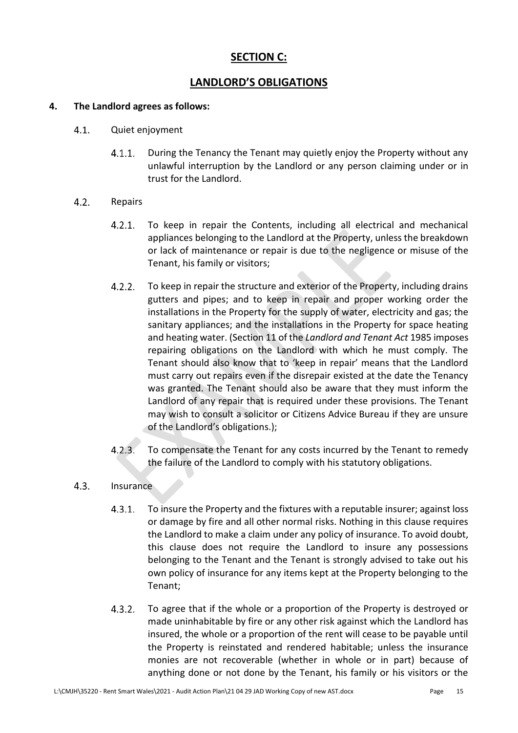### **SECTION C:**

### **LANDLORD'S OBLIGATIONS**

### **4. The Landlord agrees as follows:**

- $4.1.$ Quiet enjoyment
	- During the Tenancy the Tenant may quietly enjoy the Property without any  $4.1.1.$ unlawful interruption by the Landlord or any person claiming under or in trust for the Landlord.

#### $4.2.$ Repairs

- To keep in repair the Contents, including all electrical and mechanical  $4.2.1.$ appliances belonging to the Landlord at the Property, unless the breakdown or lack of maintenance or repair is due to the negligence or misuse of the Tenant, his family or visitors;
- $4.2.2.$ To keep in repair the structure and exterior of the Property, including drains gutters and pipes; and to keep in repair and proper working order the installations in the Property for the supply of water, electricity and gas; the sanitary appliances; and the installations in the Property for space heating and heating water. (Section 11 of the *Landlord and Tenant Act* 1985 imposes repairing obligations on the Landlord with which he must comply. The Tenant should also know that to 'keep in repair' means that the Landlord must carry out repairs even if the disrepair existed at the date the Tenancy was granted. The Tenant should also be aware that they must inform the Landlord of any repair that is required under these provisions. The Tenant may wish to consult a solicitor or Citizens Advice Bureau if they are unsure of the Landlord's obligations.);
- $4.2.3.$ To compensate the Tenant for any costs incurred by the Tenant to remedy the failure of the Landlord to comply with his statutory obligations.

### $4.3.$ Insurance

- $4.3.1.$ To insure the Property and the fixtures with a reputable insurer; against loss or damage by fire and all other normal risks. Nothing in this clause requires the Landlord to make a claim under any policy of insurance. To avoid doubt, this clause does not require the Landlord to insure any possessions belonging to the Tenant and the Tenant is strongly advised to take out his own policy of insurance for any items kept at the Property belonging to the Tenant;
- $4.3.2.$ To agree that if the whole or a proportion of the Property is destroyed or made uninhabitable by fire or any other risk against which the Landlord has insured, the whole or a proportion of the rent will cease to be payable until the Property is reinstated and rendered habitable; unless the insurance monies are not recoverable (whether in whole or in part) because of anything done or not done by the Tenant, his family or his visitors or the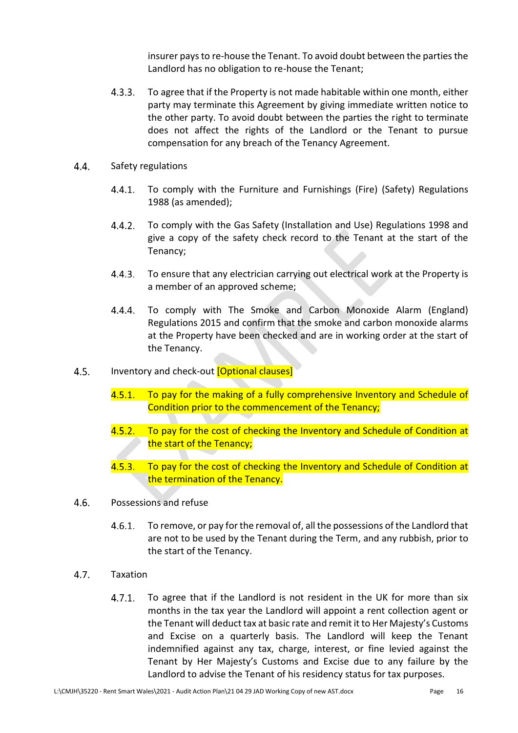insurer pays to re-house the Tenant. To avoid doubt between the parties the Landlord has no obligation to re-house the Tenant;

- $4.3.3.$ To agree that if the Property is not made habitable within one month, either party may terminate this Agreement by giving immediate written notice to the other party. To avoid doubt between the parties the right to terminate does not affect the rights of the Landlord or the Tenant to pursue compensation for any breach of the Tenancy Agreement.
- 4.4. Safety regulations
	- $4.4.1.$ To comply with the Furniture and Furnishings (Fire) (Safety) Regulations 1988 (as amended);
	- $4.4.2.$ To comply with the Gas Safety (Installation and Use) Regulations 1998 and give a copy of the safety check record to the Tenant at the start of the Tenancy;
	- $4.4.3.$ To ensure that any electrician carrying out electrical work at the Property is a member of an approved scheme;
	- $4.4.4.$ To comply with The Smoke and Carbon Monoxide Alarm (England) Regulations 2015 and confirm that the smoke and carbon monoxide alarms at the Property have been checked and are in working order at the start of the Tenancy.
- Inventory and check-out [Optional clauses]  $4.5.$ 
	- 4.5.1. To pay for the making of a fully comprehensive Inventory and Schedule of Condition prior to the commencement of the Tenancy;
	- $4.5.2.$ To pay for the cost of checking the Inventory and Schedule of Condition at the start of the Tenancy;
	- $4.5.3.$ To pay for the cost of checking the Inventory and Schedule of Condition at the termination of the Tenancy.
- $4.6.$ Possessions and refuse
	- $4.6.1.$ To remove, or pay for the removal of, all the possessions of the Landlord that are not to be used by the Tenant during the Term, and any rubbish, prior to the start of the Tenancy.
- $4.7.$ Taxation
	- $4.7.1.$ To agree that if the Landlord is not resident in the UK for more than six months in the tax year the Landlord will appoint a rent collection agent or the Tenant will deduct tax at basic rate and remit it to Her Majesty's Customs and Excise on a quarterly basis. The Landlord will keep the Tenant indemnified against any tax, charge, interest, or fine levied against the Tenant by Her Majesty's Customs and Excise due to any failure by the Landlord to advise the Tenant of his residency status for tax purposes.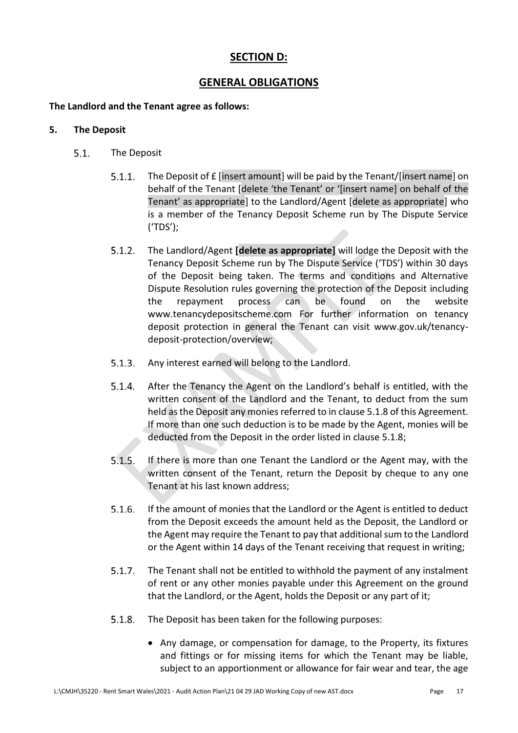### **SECTION D:**

### **GENERAL OBLIGATIONS**

### **The Landlord and the Tenant agree as follows:**

### **5. The Deposit**

- $5.1.$ The Deposit
	- $5.1.1.$ The Deposit of £ [insert amount] will be paid by the Tenant/[insert name] on behalf of the Tenant [delete 'the Tenant' or '[insert name] on behalf of the Tenant' as appropriate] to the Landlord/Agent [delete as appropriate] who is a member of the Tenancy Deposit Scheme run by The Dispute Service ('TDS');
	- $5.1.2.$ The Landlord/Agent **[delete as appropriate]** will lodge the Deposit with the Tenancy Deposit Scheme run by The Dispute Service ('TDS') within 30 days of the Deposit being taken. The terms and conditions and Alternative Dispute Resolution rules governing the protection of the Deposit including the repayment process can be found on the website www.tenancydepositscheme.com For further information on tenancy deposit protection in general the Tenant can visit www.gov.uk/tenancydeposit-protection/overview;
	- $5.1.3.$ Any interest earned will belong to the Landlord.
	- $5.1.4.$ After the Tenancy the Agent on the Landlord's behalf is entitled, with the written consent of the Landlord and the Tenant, to deduct from the sum held as the Deposit any monies referred to in clause 5.1.8 of this Agreement. If more than one such deduction is to be made by the Agent, monies will be deducted from the Deposit in the order listed in clause 5.1.8;
	- $5.1.5.$ If there is more than one Tenant the Landlord or the Agent may, with the written consent of the Tenant, return the Deposit by cheque to any one Tenant at his last known address;
	- $5.1.6.$ If the amount of monies that the Landlord or the Agent is entitled to deduct from the Deposit exceeds the amount held as the Deposit, the Landlord or the Agent may require the Tenant to pay that additional sum to the Landlord or the Agent within 14 days of the Tenant receiving that request in writing;
	- $5.1.7.$ The Tenant shall not be entitled to withhold the payment of any instalment of rent or any other monies payable under this Agreement on the ground that the Landlord, or the Agent, holds the Deposit or any part of it;
	- $5.1.8.$ The Deposit has been taken for the following purposes:
		- Any damage, or compensation for damage, to the Property, its fixtures and fittings or for missing items for which the Tenant may be liable, subject to an apportionment or allowance for fair wear and tear, the age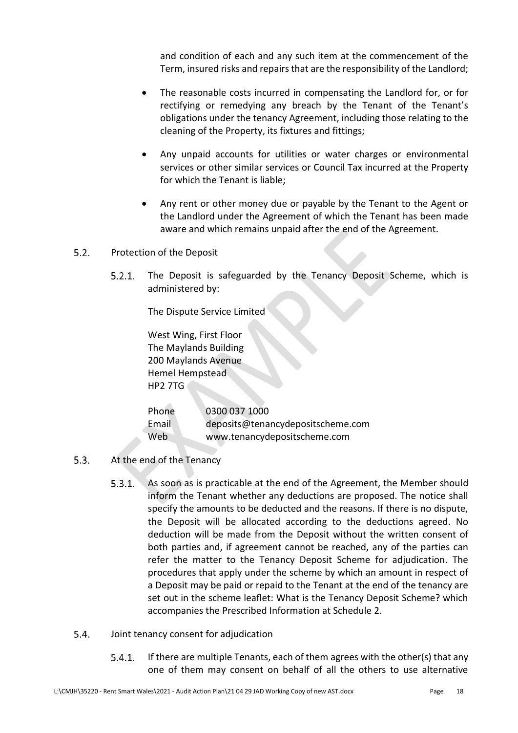and condition of each and any such item at the commencement of the Term, insured risks and repairs that are the responsibility of the Landlord;

- The reasonable costs incurred in compensating the Landlord for, or for rectifying or remedying any breach by the Tenant of the Tenant's obligations under the tenancy Agreement, including those relating to the cleaning of the Property, its fixtures and fittings;
- Any unpaid accounts for utilities or water charges or environmental services or other similar services or Council Tax incurred at the Property for which the Tenant is liable;
- Any rent or other money due or payable by the Tenant to the Agent or the Landlord under the Agreement of which the Tenant has been made aware and which remains unpaid after the end of the Agreement.
- $5.2.$ Protection of the Deposit
	- The Deposit is safeguarded by the Tenancy Deposit Scheme, which is  $5.2.1.$ administered by:

The Dispute Service Limited

West Wing, First Floor The Maylands Building 200 Maylands Avenue Hemel Hempstead HP2 7TG

| Phone | 0300 037 1000                     |
|-------|-----------------------------------|
| Email | deposits@tenancydepositscheme.com |
| Web   | www.tenancydepositscheme.com      |

- $5.3.$ At the end of the Tenancy
	- $5.3.1.$ As soon as is practicable at the end of the Agreement, the Member should inform the Tenant whether any deductions are proposed. The notice shall specify the amounts to be deducted and the reasons. If there is no dispute, the Deposit will be allocated according to the deductions agreed. No deduction will be made from the Deposit without the written consent of both parties and, if agreement cannot be reached, any of the parties can refer the matter to the Tenancy Deposit Scheme for adjudication. The procedures that apply under the scheme by which an amount in respect of a Deposit may be paid or repaid to the Tenant at the end of the tenancy are set out in the scheme leaflet: What is the Tenancy Deposit Scheme? which accompanies the Prescribed Information at Schedule 2.
- $5.4.$ Joint tenancy consent for adjudication
	- $5.4.1.$ If there are multiple Tenants, each of them agrees with the other(s) that any one of them may consent on behalf of all the others to use alternative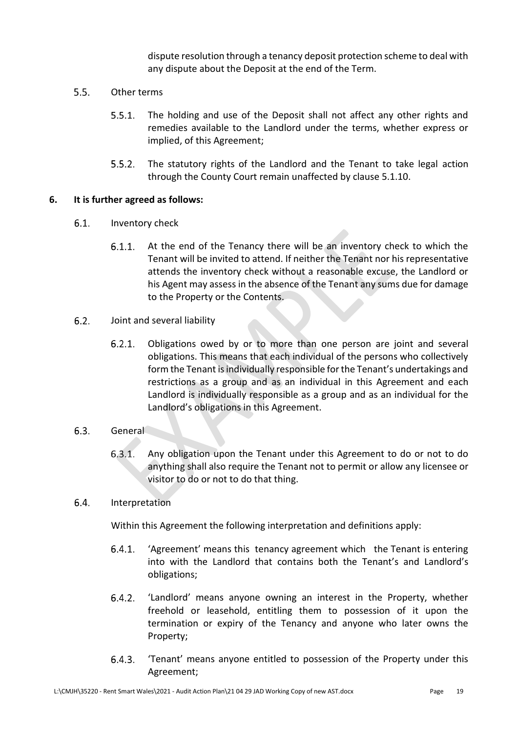dispute resolution through a tenancy deposit protection scheme to deal with any dispute about the Deposit at the end of the Term.

- $5.5.$ Other terms
	- $5.5.1.$ The holding and use of the Deposit shall not affect any other rights and remedies available to the Landlord under the terms, whether express or implied, of this Agreement;
	- $5.5.2.$ The statutory rights of the Landlord and the Tenant to take legal action through the County Court remain unaffected by clause 5.1.10.

### **6. It is further agreed as follows:**

- $6.1.$ Inventory check
	- At the end of the Tenancy there will be an inventory check to which the  $6.1.1.$ Tenant will be invited to attend. If neither the Tenant nor his representative attends the inventory check without a reasonable excuse, the Landlord or his Agent may assess in the absence of the Tenant any sums due for damage to the Property or the Contents.
- $6.2<sub>1</sub>$ Joint and several liability
	- $6.2.1.$ Obligations owed by or to more than one person are joint and several obligations. This means that each individual of the persons who collectively form the Tenant is individually responsible for the Tenant's undertakings and restrictions as a group and as an individual in this Agreement and each Landlord is individually responsible as a group and as an individual for the Landlord's obligations in this Agreement.

### $6.3.$ General

 $6.3.1.$ Any obligation upon the Tenant under this Agreement to do or not to do anything shall also require the Tenant not to permit or allow any licensee or visitor to do or not to do that thing.

#### $6.4.$ Interpretation

Within this Agreement the following interpretation and definitions apply:

- $6.4.1.$ 'Agreement' means this tenancy agreement which the Tenant is entering into with the Landlord that contains both the Tenant's and Landlord's obligations;
- $6.4.2.$ 'Landlord' means anyone owning an interest in the Property, whether freehold or leasehold, entitling them to possession of it upon the termination or expiry of the Tenancy and anyone who later owns the Property;
- $6.4.3.$ 'Tenant' means anyone entitled to possession of the Property under this Agreement;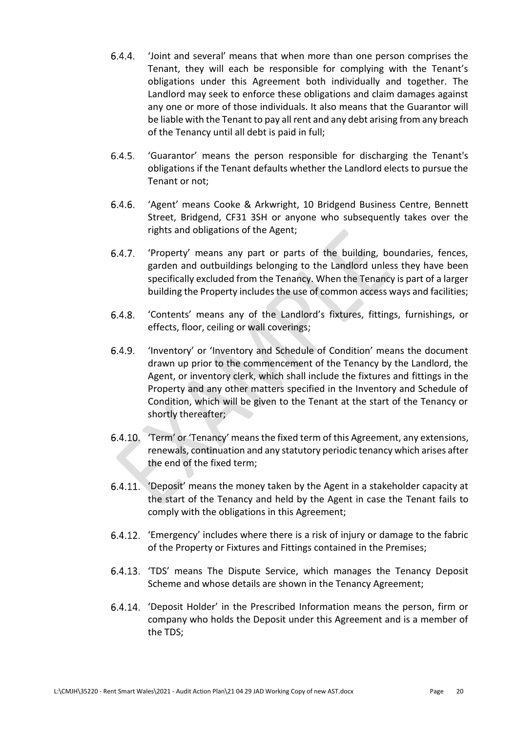- 'Joint and several' means that when more than one person comprises the  $6.4.4.$ Tenant, they will each be responsible for complying with the Tenant's obligations under this Agreement both individually and together. The Landlord may seek to enforce these obligations and claim damages against any one or more of those individuals. It also means that the Guarantor will be liable with the Tenant to pay all rent and any debt arising from any breach of the Tenancy until all debt is paid in full;
- $6.4.5.$ 'Guarantor' means the person responsible for discharging the Tenant's obligations if the Tenant defaults whether the Landlord elects to pursue the Tenant or not;
- $6.4.6.$ 'Agent' means Cooke & Arkwright, 10 Bridgend Business Centre, Bennett Street, Bridgend, CF31 3SH or anyone who subsequently takes over the rights and obligations of the Agent;
- 'Property' means any part or parts of the building, boundaries, fences,  $6.4.7.$ garden and outbuildings belonging to the Landlord unless they have been specifically excluded from the Tenancy. When the Tenancy is part of a larger building the Property includes the use of common access ways and facilities;
- $6.4.8.$ 'Contents' means any of the Landlord's fixtures, fittings, furnishings, or effects, floor, ceiling or wall coverings;
- $6.4.9.$ 'Inventory' or 'Inventory and Schedule of Condition' means the document drawn up prior to the commencement of the Tenancy by the Landlord, the Agent, or inventory clerk, which shall include the fixtures and fittings in the Property and any other matters specified in the Inventory and Schedule of Condition, which will be given to the Tenant at the start of the Tenancy or shortly thereafter;
- 'Term' or 'Tenancy' means the fixed term of this Agreement, any extensions, renewals, continuation and any statutory periodic tenancy which arises after the end of the fixed term;
- 6.4.11. 'Deposit' means the money taken by the Agent in a stakeholder capacity at the start of the Tenancy and held by the Agent in case the Tenant fails to comply with the obligations in this Agreement;
- 'Emergency' includes where there is a risk of injury or damage to the fabric of the Property or Fixtures and Fittings contained in the Premises;
- 6.4.13. 'TDS' means The Dispute Service, which manages the Tenancy Deposit Scheme and whose details are shown in the Tenancy Agreement;
- 'Deposit Holder' in the Prescribed Information means the person, firm or company who holds the Deposit under this Agreement and is a member of the TDS;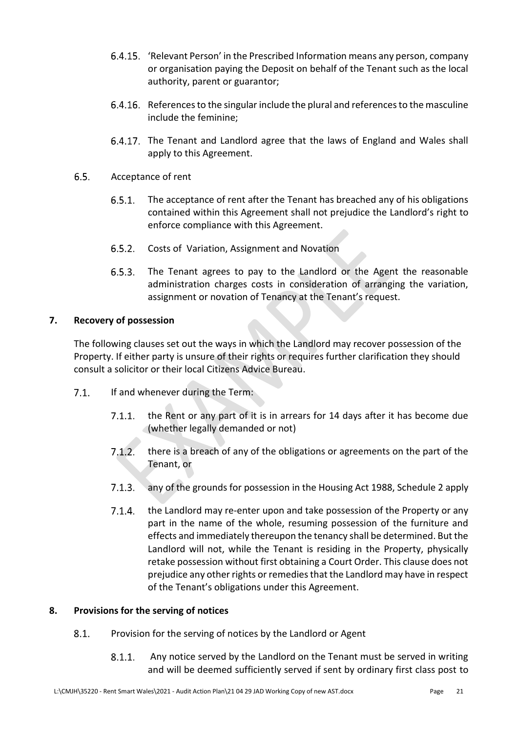- 'Relevant Person' in the Prescribed Information means any person, company or organisation paying the Deposit on behalf of the Tenant such as the local authority, parent or guarantor;
- 6.4.16. References to the singular include the plural and references to the masculine include the feminine;
- 6.4.17. The Tenant and Landlord agree that the laws of England and Wales shall apply to this Agreement.
- $6.5.$ Acceptance of rent
	- $6.5.1.$ The acceptance of rent after the Tenant has breached any of his obligations contained within this Agreement shall not prejudice the Landlord's right to enforce compliance with this Agreement.
	- $6.5.2.$ Costs of Variation, Assignment and Novation
	- $6.5.3.$ The Tenant agrees to pay to the Landlord or the Agent the reasonable administration charges costs in consideration of arranging the variation, assignment or novation of Tenancy at the Tenant's request.

### **7. Recovery of possession**

The following clauses set out the ways in which the Landlord may recover possession of the Property. If either party is unsure of their rights or requires further clarification they should consult a solicitor or their local Citizens Advice Bureau.

- $7.1.$ If and whenever during the Term:
	- $7.1.1.$ the Rent or any part of it is in arrears for 14 days after it has become due (whether legally demanded or not)
	- $7.1.2.$ there is a breach of any of the obligations or agreements on the part of the Tenant, or
	- $7.1.3.$ any of the grounds for possession in the Housing Act 1988, Schedule 2 apply
	- $7.1.4.$ the Landlord may re-enter upon and take possession of the Property or any part in the name of the whole, resuming possession of the furniture and effects and immediately thereupon the tenancy shall be determined. But the Landlord will not, while the Tenant is residing in the Property, physically retake possession without first obtaining a Court Order. This clause does not prejudice any other rights or remedies that the Landlord may have in respect of the Tenant's obligations under this Agreement.

### **8. Provisions for the serving of notices**

- $8.1.$ Provision for the serving of notices by the Landlord or Agent
	- Any notice served by the Landlord on the Tenant must be served in writing  $8.1.1$ . and will be deemed sufficiently served if sent by ordinary first class post to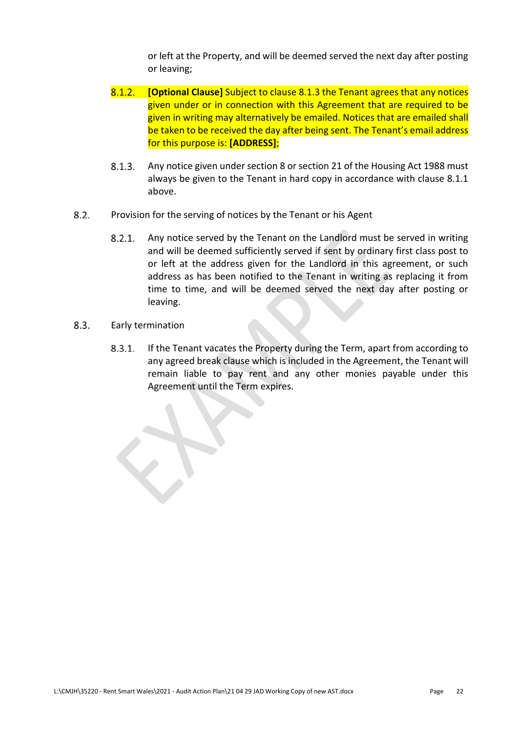or left at the Property, and will be deemed served the next day after posting or leaving;

- $8.1.2.$ **[Optional Clause]** Subject to clause 8.1.3 the Tenant agrees that any notices given under or in connection with this Agreement that are required to be given in writing may alternatively be emailed. Notices that are emailed shall be taken to be received the day after being sent. The Tenant's email address for this purpose is: **[ADDRESS]**;
- $8.1.3.$ Any notice given under section 8 or section 21 of the Housing Act 1988 must always be given to the Tenant in hard copy in accordance with clause 8.1.1 above.
- $8.2.$ Provision for the serving of notices by the Tenant or his Agent
	- $8.2.1.$ Any notice served by the Tenant on the Landlord must be served in writing and will be deemed sufficiently served if sent by ordinary first class post to or left at the address given for the Landlord in this agreement, or such address as has been notified to the Tenant in writing as replacing it from time to time, and will be deemed served the next day after posting or leaving.
- $8.3.$ Early termination

If the Tenant vacates the Property during the Term, apart from according to  $8.3.1.$ any agreed break clause which is included in the Agreement, the Tenant will remain liable to pay rent and any other monies payable under this Agreement until the Term expires.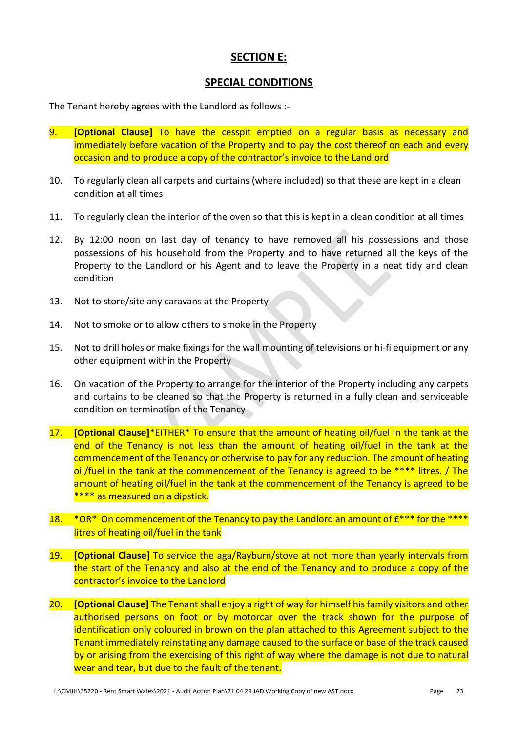### **SECTION E:**

### **SPECIAL CONDITIONS**

The Tenant hereby agrees with the Landlord as follows :-

- 9. **[Optional Clause]** To have the cesspit emptied on a regular basis as necessary and immediately before vacation of the Property and to pay the cost thereof on each and every occasion and to produce a copy of the contractor's invoice to the Landlord
- 10. To regularly clean all carpets and curtains (where included) so that these are kept in a clean condition at all times
- 11. To regularly clean the interior of the oven so that this is kept in a clean condition at all times
- 12. By 12:00 noon on last day of tenancy to have removed all his possessions and those possessions of his household from the Property and to have returned all the keys of the Property to the Landlord or his Agent and to leave the Property in a neat tidy and clean condition
- 13. Not to store/site any caravans at the Property
- 14. Not to smoke or to allow others to smoke in the Property
- 15. Not to drill holes or make fixings for the wall mounting of televisions or hi-fi equipment or any other equipment within the Property
- 16. On vacation of the Property to arrange for the interior of the Property including any carpets and curtains to be cleaned so that the Property is returned in a fully clean and serviceable condition on termination of the Tenancy
- 17. **[Optional Clause]**\*EITHER\* To ensure that the amount of heating oil/fuel in the tank at the end of the Tenancy is not less than the amount of heating oil/fuel in the tank at the commencement of the Tenancy or otherwise to pay for any reduction. The amount of heating oil/fuel in the tank at the commencement of the Tenancy is agreed to be \*\*\*\* litres. / The amount of heating oil/fuel in the tank at the commencement of the Tenancy is agreed to be \*\*\*\* as measured on a dipstick.
- 18.  $*OR*$  On commencement of the Tenancy to pay the Landlord an amount of  $E***$  for the  $***$ litres of heating oil/fuel in the tank
- 19. **[Optional Clause]** To service the aga/Rayburn/stove at not more than yearly intervals from the start of the Tenancy and also at the end of the Tenancy and to produce a copy of the contractor's invoice to the Landlord
- 20. **[Optional Clause]** The Tenant shall enjoy a right of way for himself his family visitors and other authorised persons on foot or by motorcar over the track shown for the purpose of identification only coloured in brown on the plan attached to this Agreement subject to the Tenant immediately reinstating any damage caused to the surface or base of the track caused by or arising from the exercising of this right of way where the damage is not due to natural wear and tear, but due to the fault of the tenant.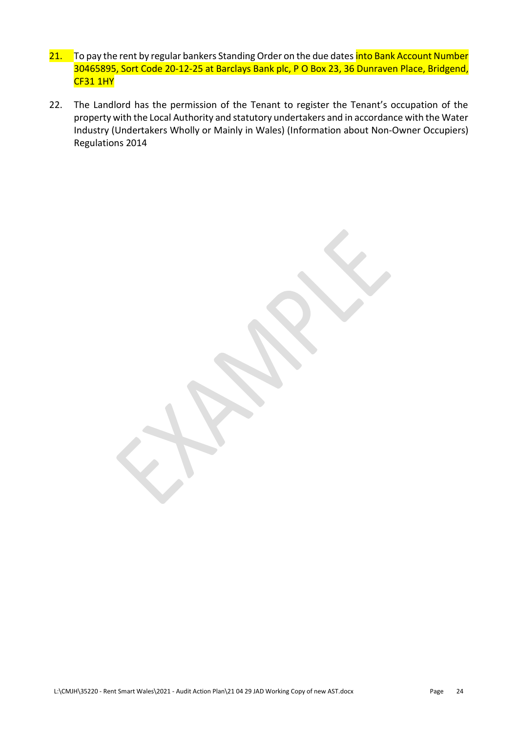- 21. To pay the rent by regular bankers Standing Order on the due dates into Bank Account Number 30465895, Sort Code 20-12-25 at Barclays Bank plc, P O Box 23, 36 Dunraven Place, Bridgend, CF31 1HY
- 22. The Landlord has the permission of the Tenant to register the Tenant's occupation of the property with the Local Authority and statutory undertakers and in accordance with the Water Industry (Undertakers Wholly or Mainly in Wales) (Information about Non-Owner Occupiers) Regulations 2014

L:\CMJH\35220 - Rent Smart Wales\2021 - Audit Action Plan\21 04 29 JAD Working Copy of new AST.docx Page 24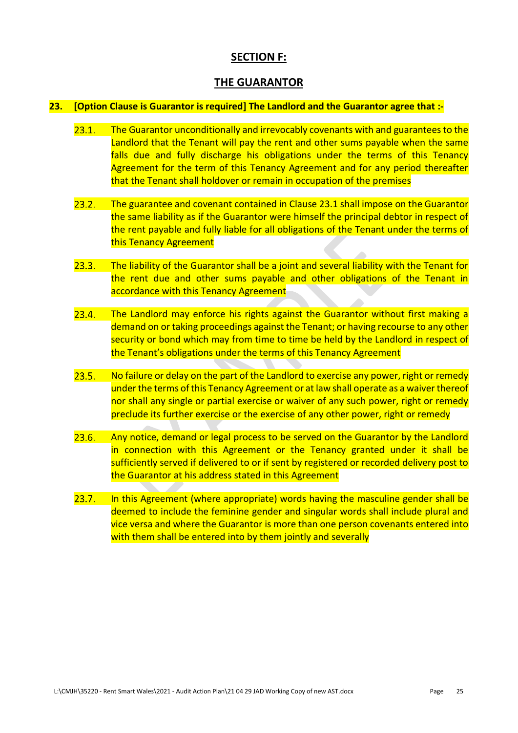### **SECTION F:**

### **THE GUARANTOR**

### **23. [Option Clause is Guarantor is required] The Landlord and the Guarantor agree that :-**

- $23.1.$ The Guarantor unconditionally and irrevocably covenants with and guarantees to the Landlord that the Tenant will pay the rent and other sums payable when the same falls due and fully discharge his obligations under the terms of this Tenancy Agreement for the term of this Tenancy Agreement and for any period thereafter that the Tenant shall holdover or remain in occupation of the premises
- $23.2.$ The guarantee and covenant contained in Clause 23.1 shall impose on the Guarantor the same liability as if the Guarantor were himself the principal debtor in respect of the rent payable and fully liable for all obligations of the Tenant under the terms of this Tenancy Agreement
- $23.3.$ The liability of the Guarantor shall be a joint and several liability with the Tenant for the rent due and other sums payable and other obligations of the Tenant in accordance with this Tenancy Agreement
- $23.4.$ The Landlord may enforce his rights against the Guarantor without first making a demand on or taking proceedings against the Tenant; or having recourse to any other security or bond which may from time to time be held by the Landlord in respect of the Tenant's obligations under the terms of this Tenancy Agreement
- $23.5.$ No failure or delay on the part of the Landlord to exercise any power, right or remedy under the terms of this Tenancy Agreement or at law shall operate as a waiver thereof nor shall any single or partial exercise or waiver of any such power, right or remedy preclude its further exercise or the exercise of any other power, right or remedy
- $23.6.$ Any notice, demand or legal process to be served on the Guarantor by the Landlord in connection with this Agreement or the Tenancy granted under it shall be sufficiently served if delivered to or if sent by registered or recorded delivery post to the Guarantor at his address stated in this Agreement
- $23.7.$ In this Agreement (where appropriate) words having the masculine gender shall be deemed to include the feminine gender and singular words shall include plural and vice versa and where the Guarantor is more than one person covenants entered into with them shall be entered into by them jointly and severally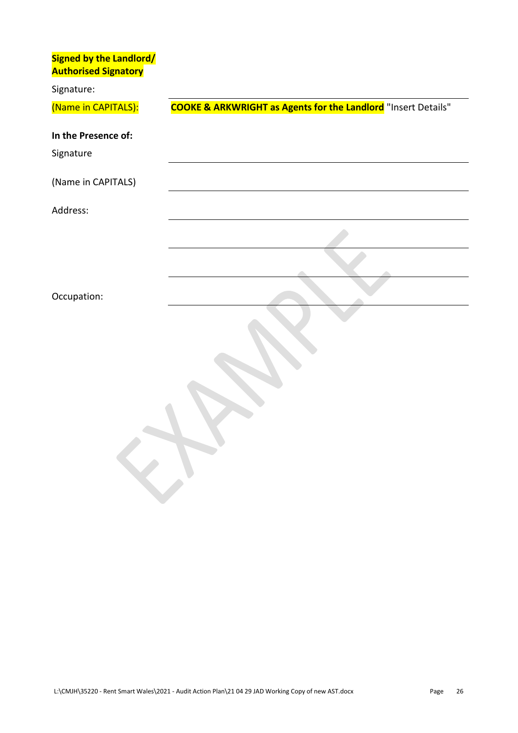| <b>Signed by the Landlord/</b><br><b>Authorised Signatory</b> |                                                                          |
|---------------------------------------------------------------|--------------------------------------------------------------------------|
| Signature:                                                    |                                                                          |
| (Name in CAPITALS):                                           | <b>COOKE &amp; ARKWRIGHT as Agents for the Landlord</b> "Insert Details" |
| In the Presence of:                                           |                                                                          |
| Signature                                                     |                                                                          |
| (Name in CAPITALS)                                            |                                                                          |
| Address:                                                      |                                                                          |
|                                                               |                                                                          |
|                                                               |                                                                          |
| Occupation:                                                   |                                                                          |
|                                                               |                                                                          |
|                                                               |                                                                          |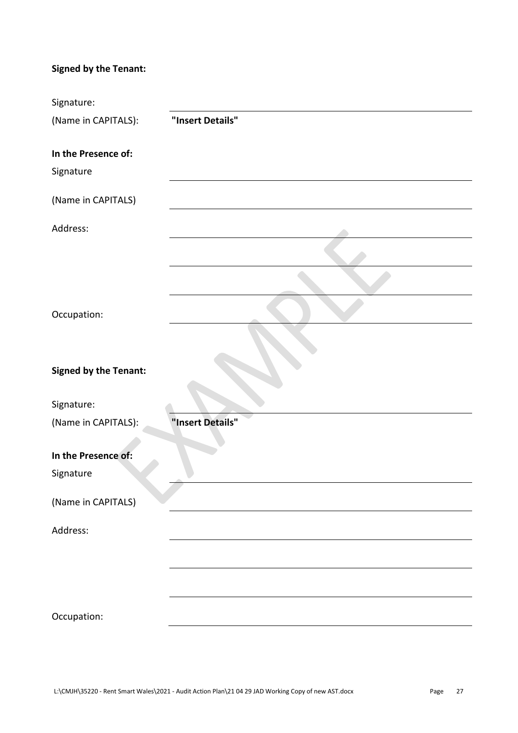## **Signed by the Tenant:**

| Signature:                   |                  |
|------------------------------|------------------|
| (Name in CAPITALS):          | "Insert Details" |
| In the Presence of:          |                  |
| Signature                    |                  |
| (Name in CAPITALS)           |                  |
| Address:                     |                  |
|                              |                  |
|                              |                  |
| Occupation:                  |                  |
|                              |                  |
| <b>Signed by the Tenant:</b> |                  |
| Signature:                   |                  |
| (Name in CAPITALS):          | "Insert Details" |
| In the Presence of:          |                  |
| Signature                    |                  |
| (Name in CAPITALS)           |                  |
| Address:                     |                  |
|                              |                  |
|                              |                  |
| Occupation:                  |                  |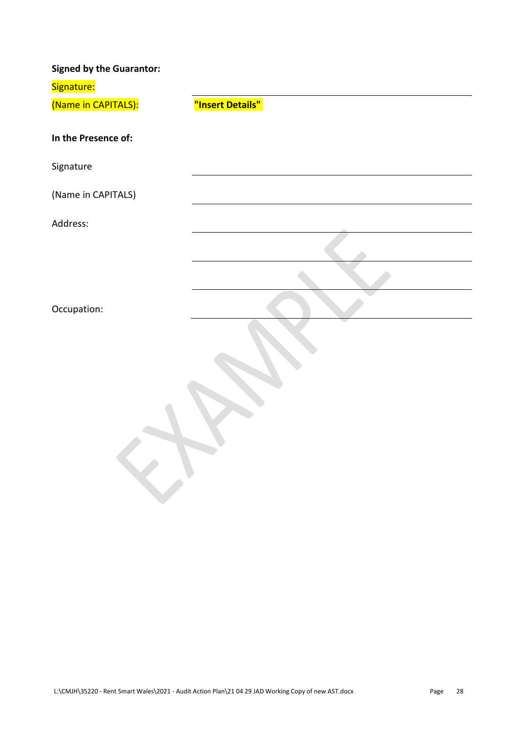| <b>Signed by the Guarantor:</b> |                  |
|---------------------------------|------------------|
| Signature:                      |                  |
| (Name in CAPITALS):             | "Insert Details" |
|                                 |                  |
| In the Presence of:             |                  |
| Signature                       |                  |
| (Name in CAPITALS)              |                  |
| Address:                        |                  |
|                                 |                  |
|                                 |                  |
| Occupation:                     |                  |
|                                 |                  |
|                                 |                  |
|                                 |                  |
|                                 |                  |
|                                 |                  |
|                                 |                  |
|                                 |                  |
|                                 |                  |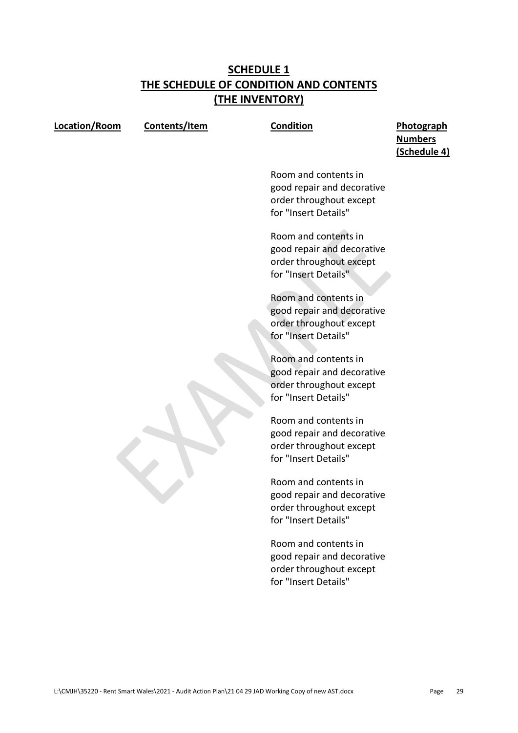### **SCHEDULE 1 THE SCHEDULE OF CONDITION AND CONTENTS (THE INVENTORY)**

|--|

**Contents/Item Condition Photograph Numbers (Schedule 4)**

> Room and contents in good repair and decorative order throughout except for "Insert Details"

> Room and contents in good repair and decorative order throughout except for "Insert Details"

> Room and contents in good repair and decorative order throughout except for "Insert Details"

> Room and contents in good repair and decorative order throughout except for "Insert Details"

> Room and contents in good repair and decorative order throughout except for "Insert Details"

> Room and contents in good repair and decorative order throughout except for "Insert Details"

> Room and contents in good repair and decorative order throughout except for "Insert Details"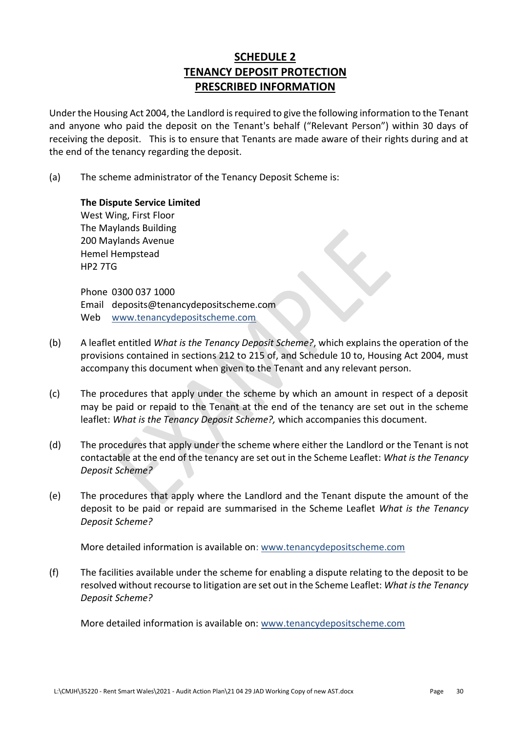### **SCHEDULE 2 TENANCY DEPOSIT PROTECTION PRESCRIBED INFORMATION**

Under the Housing Act 2004, the Landlord is required to give the following information to the Tenant and anyone who paid the deposit on the Tenant's behalf ("Relevant Person") within 30 days of receiving the deposit. This is to ensure that Tenants are made aware of their rights during and at the end of the tenancy regarding the deposit.

(a) The scheme administrator of the Tenancy Deposit Scheme is:

**The Dispute Service Limited** West Wing, First Floor The Maylands Building 200 Maylands Avenue Hemel Hempstead HP2 7TG

Phone 0300 037 1000 Email deposits@tenancydepositscheme.com Web [www.tenancydepositscheme.com](http://www.tenancydepositscheme.com/)

- (b) A leaflet entitled *What is the Tenancy Deposit Scheme?*, which explains the operation of the provisions contained in sections 212 to 215 of, and Schedule 10 to, Housing Act 2004, must accompany this document when given to the Tenant and any relevant person.
- (c) The procedures that apply under the scheme by which an amount in respect of a deposit may be paid or repaid to the Tenant at the end of the tenancy are set out in the scheme leaflet: *What is the Tenancy Deposit Scheme?,* which accompanies this document.
- (d) The procedures that apply under the scheme where either the Landlord or the Tenant is not contactable at the end of the tenancy are set out in the Scheme Leaflet: *What is the Tenancy Deposit Scheme?*
- (e) The procedures that apply where the Landlord and the Tenant dispute the amount of the deposit to be paid or repaid are summarised in the Scheme Leaflet *What is the Tenancy Deposit Scheme?*

More detailed information is available on: [www.tenancydepositscheme.com](http://www.tenancydepositscheme.com/)

(f) The facilities available under the scheme for enabling a dispute relating to the deposit to be resolved without recourse to litigation are set out in the Scheme Leaflet: *What is the Tenancy Deposit Scheme?*

More detailed information is available on: [www.tenancydepositscheme.com](http://www.tenancydepositscheme.com/)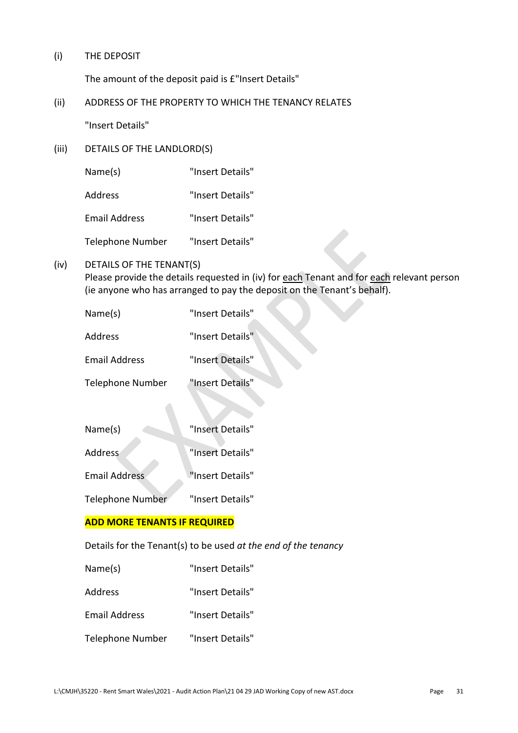(i) THE DEPOSIT

The amount of the deposit paid is £"Insert Details"

(ii) ADDRESS OF THE PROPERTY TO WHICH THE TENANCY RELATES

"Insert Details"

(iii) DETAILS OF THE LANDLORD(S)

Name(s) "Insert Details"

Address "Insert Details"

Email Address "Insert Details"

Telephone Number "Insert Details"

### (iv) DETAILS OF THE TENANT(S)

Please provide the details requested in (iv) for each Tenant and for each relevant person (ie anyone who has arranged to pay the deposit on the Tenant's behalf).

| Name(s)          | "Insert Details" |
|------------------|------------------|
| Address          | "Insert Details" |
| Email Address    | "Insert Details" |
| Telephone Number | "Insert Details" |

| Name(s)              | "Insert Details" |
|----------------------|------------------|
| Address              | "Insert Details" |
| <b>Email Address</b> | "Insert Details" |
| Telephone Number     | "Insert Details" |

### **ADD MORE TENANTS IF REQUIRED**

Details for the Tenant(s) to be used *at the end of the tenancy*

- Name(s) "Insert Details"
- Address "Insert Details"
- Email Address "Insert Details"
- Telephone Number "Insert Details"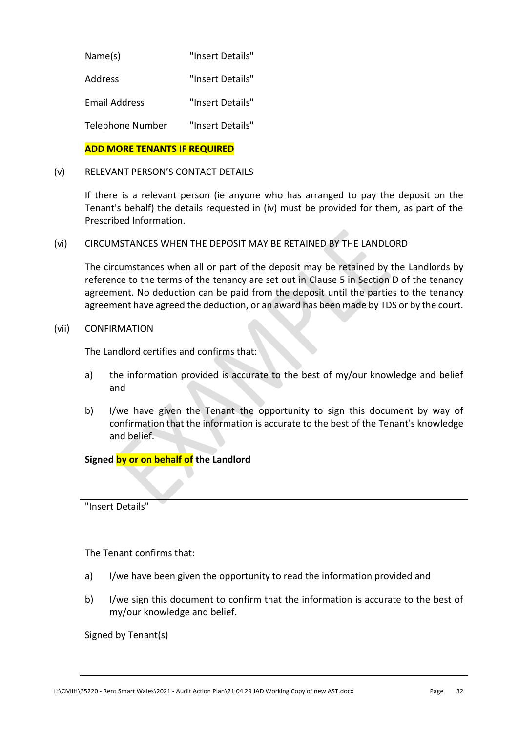| Name(s)              | "Insert Details" |
|----------------------|------------------|
| Address              | "Insert Details" |
| <b>Email Address</b> | "Insert Details" |
| Telephone Number     | "Insert Details" |

### **ADD MORE TENANTS IF REQUIRED**

### (v) RELEVANT PERSON'S CONTACT DETAILS

If there is a relevant person (ie anyone who has arranged to pay the deposit on the Tenant's behalf) the details requested in (iv) must be provided for them, as part of the Prescribed Information.

(vi) CIRCUMSTANCES WHEN THE DEPOSIT MAY BE RETAINED BY THE LANDLORD

The circumstances when all or part of the deposit may be retained by the Landlords by reference to the terms of the tenancy are set out in Clause 5 in Section D of the tenancy agreement. No deduction can be paid from the deposit until the parties to the tenancy agreement have agreed the deduction, or an award has been made by TDS or by the court.

### (vii) CONFIRMATION

The Landlord certifies and confirms that:

- a) the information provided is accurate to the best of my/our knowledge and belief and
- b) I/we have given the Tenant the opportunity to sign this document by way of confirmation that the information is accurate to the best of the Tenant's knowledge and belief.

### **Signed by or on behalf of the Landlord**

"Insert Details"

### The Tenant confirms that:

- a) I/we have been given the opportunity to read the information provided and
- b) I/we sign this document to confirm that the information is accurate to the best of my/our knowledge and belief.

Signed by Tenant(s)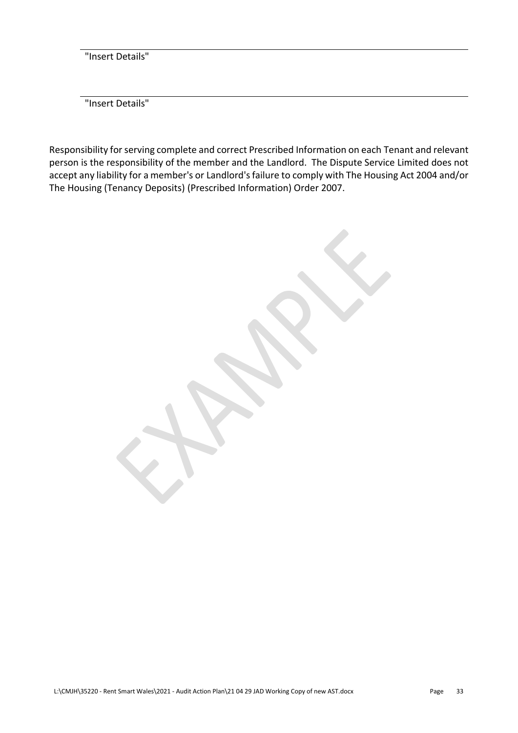"Insert Details"

"Insert Details"

Responsibility for serving complete and correct Prescribed Information on each Tenant and relevant person is the responsibility of the member and the Landlord. The Dispute Service Limited does not accept any liability for a member's or Landlord's failure to comply with The Housing Act 2004 and/or The Housing (Tenancy Deposits) (Prescribed Information) Order 2007.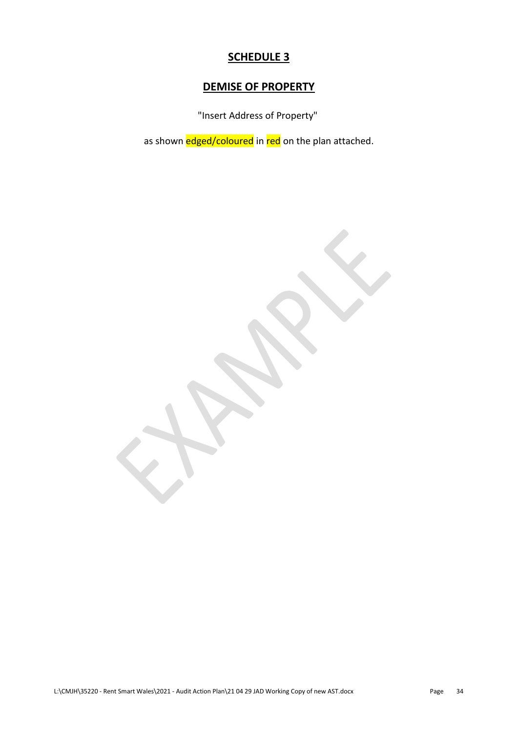### **SCHEDULE 3**

### **DEMISE OF PROPERTY**

"Insert Address of Property"

as shown edged/coloured in red on the plan attached.